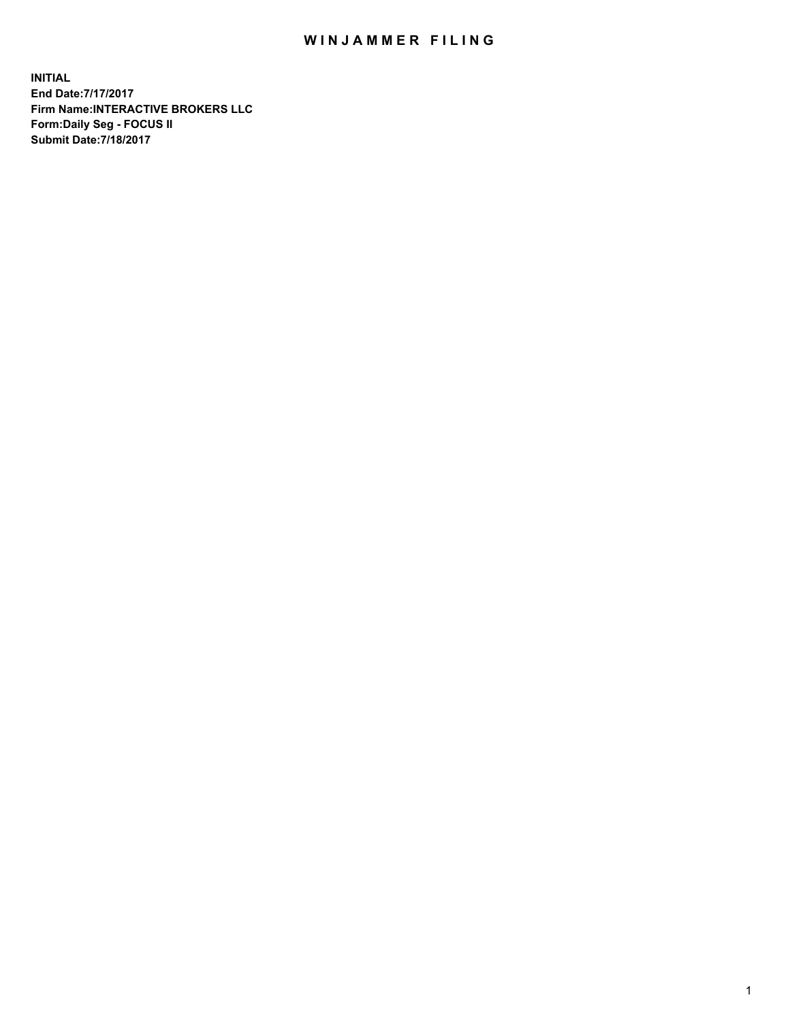## WIN JAMMER FILING

**INITIAL End Date:7/17/2017 Firm Name:INTERACTIVE BROKERS LLC Form:Daily Seg - FOCUS II Submit Date:7/18/2017**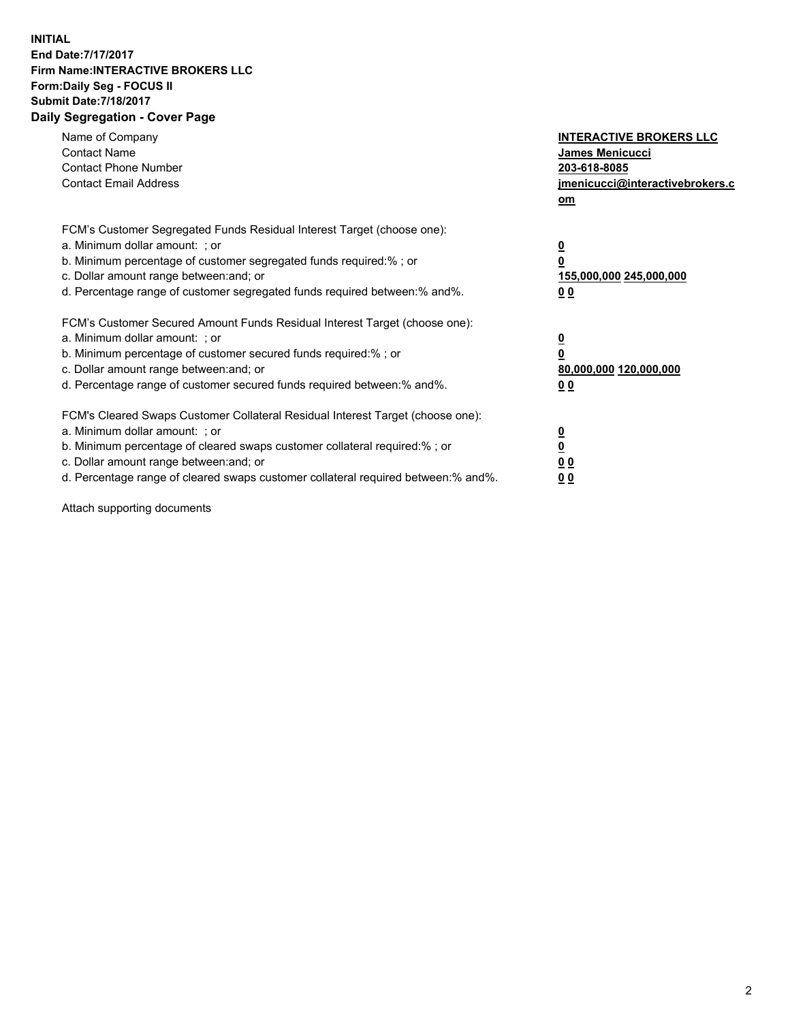## **INITIAL End Date:7/17/2017 Firm Name:INTERACTIVE BROKERS LLC Form:Daily Seg - FOCUS II Submit Date:7/18/2017 Daily Segregation - Cover Page**

| Name of Company<br><b>Contact Name</b><br><b>Contact Phone Number</b><br><b>Contact Email Address</b>                                                                                                                                                                                                                          | <b>INTERACTIVE BROKERS LLC</b><br>James Menicucci<br>203-618-8085<br>jmenicucci@interactivebrokers.c<br>$om$ |
|--------------------------------------------------------------------------------------------------------------------------------------------------------------------------------------------------------------------------------------------------------------------------------------------------------------------------------|--------------------------------------------------------------------------------------------------------------|
| FCM's Customer Segregated Funds Residual Interest Target (choose one):<br>a. Minimum dollar amount: ; or<br>b. Minimum percentage of customer segregated funds required:% ; or<br>c. Dollar amount range between: and; or<br>d. Percentage range of customer segregated funds required between: % and %.                       | $\overline{\mathbf{0}}$<br>$\overline{\mathbf{0}}$<br>155,000,000 245,000,000<br>00                          |
| FCM's Customer Secured Amount Funds Residual Interest Target (choose one):<br>a. Minimum dollar amount: ; or<br>b. Minimum percentage of customer secured funds required:%; or<br>c. Dollar amount range between: and; or<br>d. Percentage range of customer secured funds required between: % and %.                          | $\overline{\mathbf{0}}$<br>$\overline{\mathbf{0}}$<br>80,000,000 120,000,000<br>0 <sub>0</sub>               |
| FCM's Cleared Swaps Customer Collateral Residual Interest Target (choose one):<br>a. Minimum dollar amount: ; or<br>b. Minimum percentage of cleared swaps customer collateral required:% ; or<br>c. Dollar amount range between: and; or<br>d. Percentage range of cleared swaps customer collateral required between:% and%. | $\overline{\mathbf{0}}$<br>$\underline{\mathbf{0}}$<br>0 <sub>0</sub><br>0 <sup>0</sup>                      |

Attach supporting documents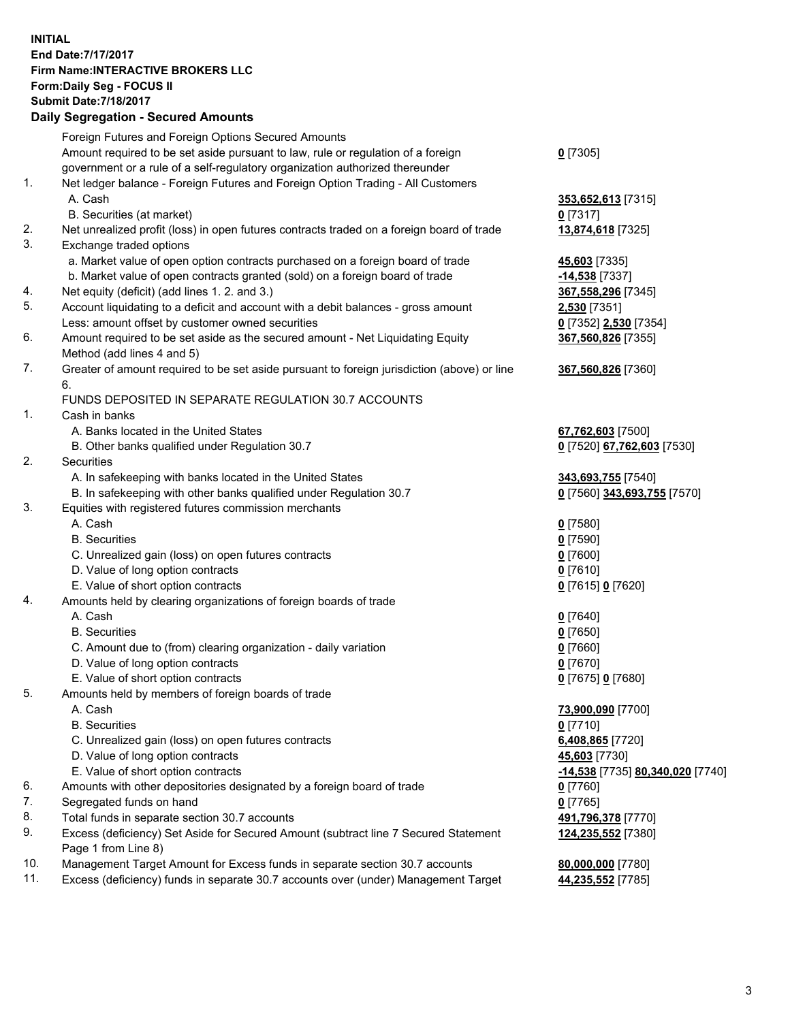## **INITIAL End Date:7/17/2017 Firm Name:INTERACTIVE BROKERS LLC Form:Daily Seg - FOCUS II Submit Date:7/18/2017 Daily Segregation - Secured Amounts**

|     | Daily Ocglegation - Occuled Amounts                                                                        |                                  |
|-----|------------------------------------------------------------------------------------------------------------|----------------------------------|
|     | Foreign Futures and Foreign Options Secured Amounts                                                        |                                  |
|     | Amount required to be set aside pursuant to law, rule or regulation of a foreign                           | $0$ [7305]                       |
|     | government or a rule of a self-regulatory organization authorized thereunder                               |                                  |
| 1.  | Net ledger balance - Foreign Futures and Foreign Option Trading - All Customers                            |                                  |
|     | A. Cash                                                                                                    | 353,652,613 [7315]               |
|     | B. Securities (at market)                                                                                  | $0$ [7317]                       |
| 2.  | Net unrealized profit (loss) in open futures contracts traded on a foreign board of trade                  | 13,874,618 [7325]                |
| 3.  | Exchange traded options                                                                                    |                                  |
|     | a. Market value of open option contracts purchased on a foreign board of trade                             | 45,603 [7335]                    |
|     | b. Market value of open contracts granted (sold) on a foreign board of trade                               | -14,538 [7337]                   |
| 4.  | Net equity (deficit) (add lines 1. 2. and 3.)                                                              | 367,558,296 [7345]               |
| 5.  | Account liquidating to a deficit and account with a debit balances - gross amount                          | 2,530 [7351]                     |
|     | Less: amount offset by customer owned securities                                                           | 0 [7352] 2,530 [7354]            |
| 6.  | Amount required to be set aside as the secured amount - Net Liquidating Equity                             | 367,560,826 [7355]               |
|     | Method (add lines 4 and 5)                                                                                 |                                  |
| 7.  | Greater of amount required to be set aside pursuant to foreign jurisdiction (above) or line                | 367,560,826 [7360]               |
|     | 6.                                                                                                         |                                  |
|     | FUNDS DEPOSITED IN SEPARATE REGULATION 30.7 ACCOUNTS                                                       |                                  |
| 1.  | Cash in banks                                                                                              |                                  |
|     | A. Banks located in the United States                                                                      | 67,762,603 [7500]                |
|     | B. Other banks qualified under Regulation 30.7                                                             | 0 [7520] 67,762,603 [7530]       |
| 2.  | Securities                                                                                                 |                                  |
|     | A. In safekeeping with banks located in the United States                                                  | 343,693,755 [7540]               |
|     | B. In safekeeping with other banks qualified under Regulation 30.7                                         | 0 [7560] 343,693,755 [7570]      |
| 3.  | Equities with registered futures commission merchants                                                      |                                  |
|     | A. Cash                                                                                                    | $0$ [7580]                       |
|     | <b>B.</b> Securities                                                                                       | $0$ [7590]                       |
|     | C. Unrealized gain (loss) on open futures contracts                                                        | $0$ [7600]                       |
|     | D. Value of long option contracts                                                                          | $0$ [7610]                       |
|     | E. Value of short option contracts                                                                         | 0 [7615] 0 [7620]                |
| 4.  | Amounts held by clearing organizations of foreign boards of trade                                          |                                  |
|     | A. Cash                                                                                                    | $0$ [7640]                       |
|     | <b>B.</b> Securities                                                                                       | $0$ [7650]                       |
|     | C. Amount due to (from) clearing organization - daily variation                                            | $0$ [7660]                       |
|     | D. Value of long option contracts                                                                          | $0$ [7670]                       |
|     | E. Value of short option contracts                                                                         | 0 [7675] 0 [7680]                |
| 5.  | Amounts held by members of foreign boards of trade                                                         |                                  |
|     | A. Cash                                                                                                    | 73,900,090 [7700]                |
|     | <b>B.</b> Securities                                                                                       | $0$ [7710]                       |
|     | C. Unrealized gain (loss) on open futures contracts                                                        | 6,408,865 [7720]                 |
|     | D. Value of long option contracts                                                                          | 45,603 [7730]                    |
|     | E. Value of short option contracts                                                                         | -14,538 [7735] 80,340,020 [7740] |
| 6.  | Amounts with other depositories designated by a foreign board of trade                                     | 0 [7760]                         |
| 7.  | Segregated funds on hand                                                                                   | $0$ [7765]                       |
| 8.  | Total funds in separate section 30.7 accounts                                                              | 491,796,378 [7770]               |
| 9.  | Excess (deficiency) Set Aside for Secured Amount (subtract line 7 Secured Statement<br>Page 1 from Line 8) | 124,235,552 [7380]               |
| 10. | Management Target Amount for Excess funds in separate section 30.7 accounts                                | 80,000,000 [7780]                |
| 11. | Excess (deficiency) funds in separate 30.7 accounts over (under) Management Target                         | 44,235,552 [7785]                |
|     |                                                                                                            |                                  |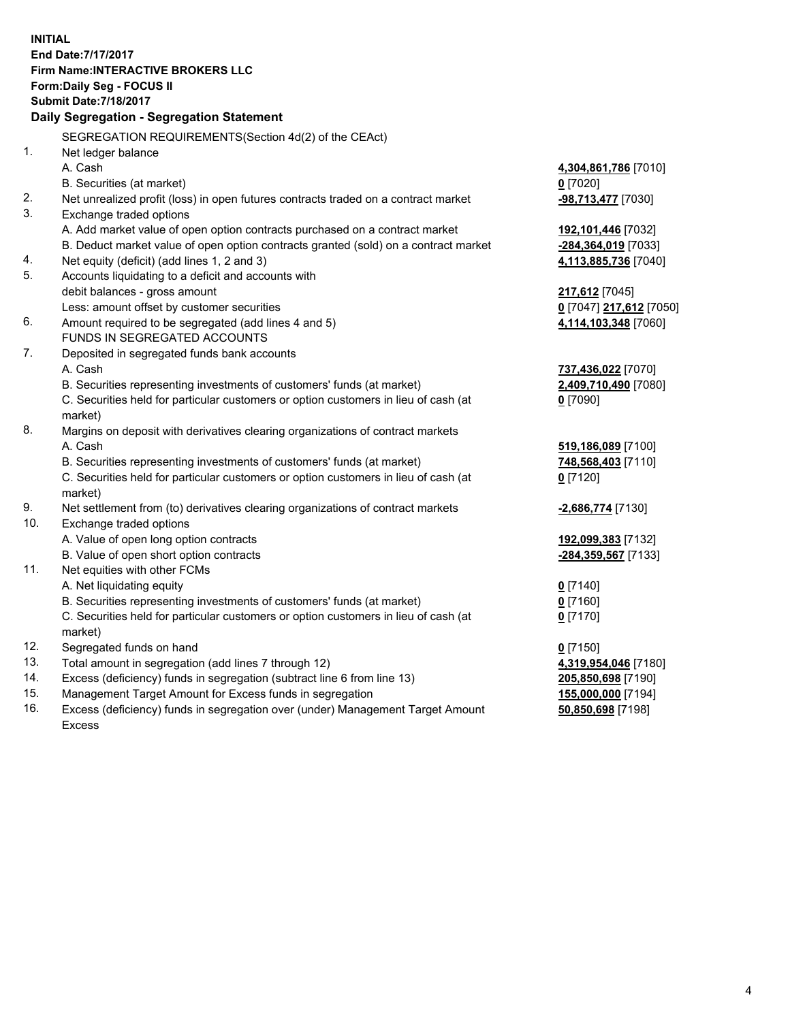**INITIAL End Date:7/17/2017 Firm Name:INTERACTIVE BROKERS LLC Form:Daily Seg - FOCUS II Submit Date:7/18/2017 Daily Segregation - Segregation Statement** SEGREGATION REQUIREMENTS(Section 4d(2) of the CEAct) 1. Net ledger balance A. Cash **4,304,861,786** [7010] B. Securities (at market) **0** [7020] 2. Net unrealized profit (loss) in open futures contracts traded on a contract market **-98,713,477** [7030] 3. Exchange traded options A. Add market value of open option contracts purchased on a contract market **192,101,446** [7032] B. Deduct market value of open option contracts granted (sold) on a contract market **-284,364,019** [7033] 4. Net equity (deficit) (add lines 1, 2 and 3) **4,113,885,736** [7040] 5. Accounts liquidating to a deficit and accounts with debit balances - gross amount **217,612** [7045] Less: amount offset by customer securities **0** [7047] **217,612** [7050] 6. Amount required to be segregated (add lines 4 and 5) **4,114,103,348** [7060] FUNDS IN SEGREGATED ACCOUNTS 7. Deposited in segregated funds bank accounts A. Cash **737,436,022** [7070] B. Securities representing investments of customers' funds (at market) **2,409,710,490** [7080] C. Securities held for particular customers or option customers in lieu of cash (at market) **0** [7090] 8. Margins on deposit with derivatives clearing organizations of contract markets A. Cash **519,186,089** [7100] B. Securities representing investments of customers' funds (at market) **748,568,403** [7110] C. Securities held for particular customers or option customers in lieu of cash (at market) **0** [7120] 9. Net settlement from (to) derivatives clearing organizations of contract markets **-2,686,774** [7130] 10. Exchange traded options A. Value of open long option contracts **192,099,383** [7132] B. Value of open short option contracts **-284,359,567** [7133] 11. Net equities with other FCMs A. Net liquidating equity **0** [7140] B. Securities representing investments of customers' funds (at market) **0** [7160] C. Securities held for particular customers or option customers in lieu of cash (at market) **0** [7170] 12. Segregated funds on hand **0** [7150] 13. Total amount in segregation (add lines 7 through 12) **4,319,954,046** [7180] 14. Excess (deficiency) funds in segregation (subtract line 6 from line 13) **205,850,698** [7190] 15. Management Target Amount for Excess funds in segregation **155,000,000** [7194]

16. Excess (deficiency) funds in segregation over (under) Management Target Amount Excess

**50,850,698** [7198]